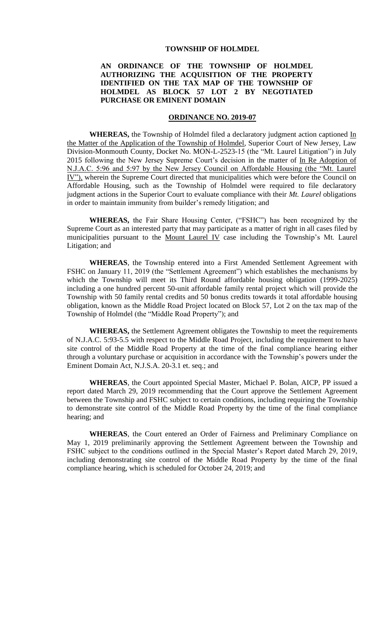#### **TOWNSHIP OF HOLMDEL**

### **AN ORDINANCE OF THE TOWNSHIP OF HOLMDEL AUTHORIZING THE ACQUISITION OF THE PROPERTY IDENTIFIED ON THE TAX MAP OF THE TOWNSHIP OF HOLMDEL AS BLOCK 57 LOT 2 BY NEGOTIATED PURCHASE OR EMINENT DOMAIN**

### **ORDINANCE NO. 2019-07**

WHEREAS, the Township of Holmdel filed a declaratory judgment action captioned In the Matter of the Application of the Township of Holmdel, Superior Court of New Jersey, Law Division-Monmouth County, Docket No. MON-L-2523-15 (the "Mt. Laurel Litigation") in July 2015 following the New Jersey Supreme Court's decision in the matter of In Re Adoption of N.J.A.C. 5:96 and 5:97 by the New Jersey Council on Affordable Housing (the "Mt. Laurel IV"), wherein the Supreme Court directed that municipalities which were before the Council on Affordable Housing, such as the Township of Holmdel were required to file declaratory judgment actions in the Superior Court to evaluate compliance with their *Mt. Laurel* obligations in order to maintain immunity from builder's remedy litigation; and

**WHEREAS,** the Fair Share Housing Center, ("FSHC") has been recognized by the Supreme Court as an interested party that may participate as a matter of right in all cases filed by municipalities pursuant to the Mount Laurel IV case including the Township's Mt. Laurel Litigation; and

**WHEREAS**, the Township entered into a First Amended Settlement Agreement with FSHC on January 11, 2019 (the "Settlement Agreement") which establishes the mechanisms by which the Township will meet its Third Round affordable housing obligation (1999-2025) including a one hundred percent 50-unit affordable family rental project which will provide the Township with 50 family rental credits and 50 bonus credits towards it total affordable housing obligation, known as the Middle Road Project located on Block 57, Lot 2 on the tax map of the Township of Holmdel (the "Middle Road Property"); and

**WHEREAS,** the Settlement Agreement obligates the Township to meet the requirements of N.J.A.C. 5:93-5.5 with respect to the Middle Road Project, including the requirement to have site control of the Middle Road Property at the time of the final compliance hearing either through a voluntary purchase or acquisition in accordance with the Township's powers under the Eminent Domain Act, N.J.S.A. 20-3.1 et. seq.; and

**WHEREAS**, the Court appointed Special Master, Michael P. Bolan, AICP, PP issued a report dated March 29, 2019 recommending that the Court approve the Settlement Agreement between the Township and FSHC subject to certain conditions, including requiring the Township to demonstrate site control of the Middle Road Property by the time of the final compliance hearing; and

**WHEREAS**, the Court entered an Order of Fairness and Preliminary Compliance on May 1, 2019 preliminarily approving the Settlement Agreement between the Township and FSHC subject to the conditions outlined in the Special Master's Report dated March 29, 2019, including demonstrating site control of the Middle Road Property by the time of the final compliance hearing, which is scheduled for October 24, 2019; and